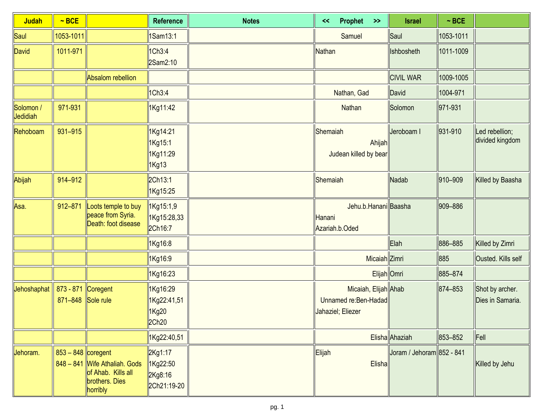| <b>Judah</b>          | $~\sim$ BCE                             |                                                                                   | <b>Reference</b>                              | <b>Notes</b> | Prophet<br><<<br>$\rightarrow$                                     | <b>Israel</b>             | $~\sim$ BCE |                                     |
|-----------------------|-----------------------------------------|-----------------------------------------------------------------------------------|-----------------------------------------------|--------------|--------------------------------------------------------------------|---------------------------|-------------|-------------------------------------|
| Saul                  | 1053-1011                               |                                                                                   | 1Sam13:1                                      |              | Samuel                                                             | Saul                      | 1053-1011   |                                     |
| David                 | 1011-971                                |                                                                                   | 1Ch3:4<br>2Sam2:10                            |              | Nathan                                                             | Ishbosheth                | 1011-1009   |                                     |
|                       |                                         | <b>Absalom rebellion</b>                                                          |                                               |              |                                                                    | <b>CIVIL WAR</b>          | 1009-1005   |                                     |
|                       |                                         |                                                                                   | 1Ch3:4                                        |              | Nathan, Gad                                                        | David                     | 1004-971    |                                     |
| Solomon /<br>Jedidiah | 971-931                                 |                                                                                   | 1Kg11:42                                      |              | Nathan                                                             | Solomon                   | 971-931     |                                     |
| Rehoboam              | 931-915                                 |                                                                                   | 1Kg14:21<br>1Kg15:1<br>1Kg11:29<br>1Kg13      |              | Shemaiah<br>Ahijah<br>Judean killed by bear                        | Jeroboam I                | 931-910     | Led rebellion;<br>divided kingdom   |
| Abijah                | 914-912                                 |                                                                                   | 2Ch13:1<br>1Kg15:25                           |              | Shemaiah                                                           | Nadab                     | 910-909     | Killed by Baasha                    |
| Asa.                  | 912-871                                 | Loots temple to buy<br>peace from Syria.<br>Death: foot disease                   | 1Kg15:1,9<br>1Kg15:28,33<br>2Ch16:7           |              | Jehu.b.Hanani Baasha<br>Hanani<br>Azariah.b.Oded                   |                           | 909-886     |                                     |
|                       |                                         |                                                                                   | 1Kg16:8                                       |              |                                                                    | Elah                      | 886-885     | Killed by Zimri                     |
|                       |                                         |                                                                                   | 1Kg16:9                                       |              | Micaiah Zimri                                                      |                           | 885         | Ousted. Kills self                  |
|                       |                                         |                                                                                   | 1Kg16:23                                      |              | Elijah Omri                                                        |                           | 885-874     |                                     |
| Jehoshaphat           | 873 - 871 Coregent<br>871-848 Sole rule |                                                                                   | 1Kg16:29<br>1Kg22:41,51<br>1Kg20<br>2Ch20     |              | Micaiah, Elijah Ahab<br>Unnamed re: Ben-Hadad<br>Jahaziel; Eliezer |                           | 874-853     | Shot by archer.<br>Dies in Samaria. |
|                       |                                         |                                                                                   | 1Kg22:40,51                                   |              |                                                                    | Elisha Ahaziah            | 853-852     | $\ $ Fell                           |
| Jehoram.              | 853 - 848 coregent                      | 848 - 841 Wife Athaliah. Gods<br>of Ahab. Kills all<br>brothers. Dies<br>horribly | 2Kg1:17<br>1Kg22:50<br>2Kg8:16<br>2Ch21:19-20 |              | Elijah<br>Elisha                                                   | Joram / Jehoram 852 - 841 |             | Killed by Jehu                      |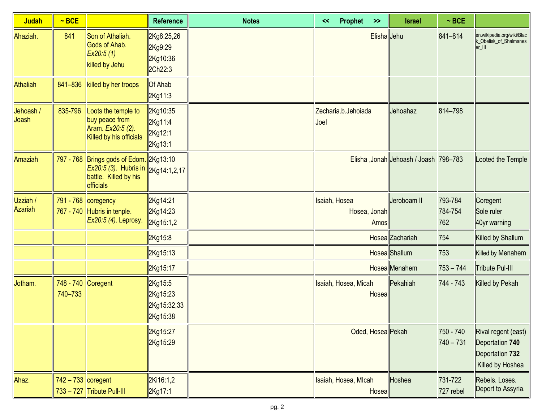| <b>Judah</b>        | $~\sim$ BCE                   |                                                                                                                              | <b>Reference</b>                               | <b>Notes</b> | <<            | Prophet              | $\rightarrow$ | <b>Israel</b>                         | $~\sim$ BCE               |                                                                               |
|---------------------|-------------------------------|------------------------------------------------------------------------------------------------------------------------------|------------------------------------------------|--------------|---------------|----------------------|---------------|---------------------------------------|---------------------------|-------------------------------------------------------------------------------|
| Ahaziah.            | 841                           | Son of Athaliah.<br>Gods of Ahab.<br>Ex20:5(1)<br>killed by Jehu                                                             | 2Kg8:25,26<br>2Kg9:29<br>2Kg10:36<br>2Ch22:3   |              |               |                      | Elisha Jehu   |                                       | 841-814                   | en.wikipedia.org/wiki/Blac<br>k_Obelisk_of_Shalmanes<br>er III                |
| <b>Athaliah</b>     | 841-836                       | killed by her troops                                                                                                         | <b>Of Ahab</b><br>2Kg11:3                      |              |               |                      |               |                                       |                           |                                                                               |
| Jehoash /<br>Joash  | 835-796                       | Loots the temple to<br>buy peace from<br>Aram. Ex20:5 (2).<br>Killed by his officials                                        | 2Kg10:35<br>2Kg11:4<br>2Kg12:1<br>2Kg13:1      |              | Joel          | Zecharia.b.Jehoiada  |               | Jehoahaz                              | 814-798                   |                                                                               |
| Amaziah             |                               | 797 - 768 Brings gods of Edom. 2Kg13:10<br>$Ex20.5(3)$ . Hubris in 2Kg14:1,2,17<br>battle. Killed by his<br><b>officials</b> |                                                |              |               |                      |               | Elisha, Jonah Jehoash / Joash 798-783 |                           | Looted the Temple                                                             |
| Uzziah /<br>Azariah |                               | 791 - 768 coregency<br>767 - 740 Hubris in tenple.<br>Ex20:5 (4). Leprosy.                                                   | 2Kg14:21<br>2Kg14:23<br>2Kg15:1,2              |              | Isaiah, Hosea | Hosea, Jonah         | Amos          | Jeroboam II                           | 793-784<br>784-754<br>762 | Coregent<br>Sole ruler<br>40yr warning                                        |
|                     |                               |                                                                                                                              | 2Kg15:8                                        |              |               |                      |               | Hosea Zachariah                       | 754                       | Killed by Shallum                                                             |
|                     |                               |                                                                                                                              | 2Kg15:13                                       |              |               |                      |               | Hosea Shallum                         | 753                       | Killed by Menahem                                                             |
|                     |                               |                                                                                                                              | 2Kg15:17                                       |              |               |                      |               | Hosea Menahem                         | $753 - 744$               | <b>Tribute Pul-III</b>                                                        |
| Jotham.             | 748 - 740 Coregent<br>740-733 |                                                                                                                              | 2Kg15:5<br>2Kg15:23<br>2Kg15:32,33<br>2Kg15:38 |              |               | Isaiah, Hosea, Micah | Hosea         | Pekahiah                              | 744 - 743                 | Killed by Pekah                                                               |
|                     |                               |                                                                                                                              | 2Kg15:27<br>2Kg15:29                           |              |               |                      |               | Oded, Hosea Pekah                     | 750 - 740<br>$740 - 731$  | Rival regent (east)<br>Deportation 740<br>Deportation 732<br>Killed by Hoshea |
| Ahaz.               | $742 - 733$ coregent          | $733 - 727$ Tribute Pull-III                                                                                                 | 2Ki16:1,2<br>2Kg17:1                           |              |               | Isaiah, Hosea, MIcah | Hosea         | Hoshea                                | 731-722<br>727 rebel      | Rebels. Loses.<br>Deport to Assyria.                                          |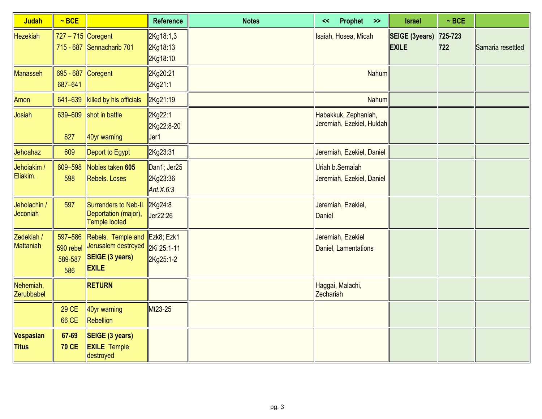| <b>Judah</b>                   | $~\sim$ BCE                            |                                                                                     | <b>Reference</b>                        | <b>Notes</b> | Prophet >><br><<                                  | <b>Israel</b>                         | $~\sim$ BCE    |                   |
|--------------------------------|----------------------------------------|-------------------------------------------------------------------------------------|-----------------------------------------|--------------|---------------------------------------------------|---------------------------------------|----------------|-------------------|
| <b>Hezekiah</b>                | $727 - 715$ Coregent                   | 715 - 687 Sennacharib 701                                                           | 2Kg18:1,3<br>2Kg18:13<br>2Kg18:10       |              | Isaiah, Hosea, Micah                              | <b>SEIGE (3years)</b><br><b>EXILE</b> | 725-723<br>722 | Samaria resettled |
| <b>Manasseh</b>                | 695 - 687 Coregent<br>687-641          |                                                                                     | 2Kg20:21<br>2Kg21:1                     |              | Nahum                                             |                                       |                |                   |
| Amon                           | 641-639                                | killed by his officials                                                             | 2Kg21:19                                |              | Nahum                                             |                                       |                |                   |
| Josiah                         | 639-609<br>627                         | shot in battle<br>40yr warning                                                      | 2Kg22:1<br>2Kg22:8-20<br>Jer1           |              | Habakkuk, Zephaniah,<br>Jeremiah, Ezekiel, Huldah |                                       |                |                   |
| Jehoahaz                       | 609                                    | Deport to Egypt                                                                     | 2Kg23:31                                |              | Jeremiah, Ezekiel, Daniel                         |                                       |                |                   |
| Jehoiakim /<br>Eliakim.        | 609-598<br>598                         | Nobles taken 605<br>Rebels. Loses                                                   | Dan1; Jer25<br>2Kg23:36<br>Ant. $X.6:3$ |              | Uriah b.Semaiah<br>Jeremiah, Ezekiel, Daniel      |                                       |                |                   |
| Jehoiachin /<br>Jeconiah       | 597                                    | Surrenders to Neb-II.<br>Deportation (major),<br>Temple looted                      | 2Kg24:8<br>Jer22:26                     |              | Jeremiah, Ezekiel,<br><b>Daniel</b>               |                                       |                |                   |
| Zedekiah /<br><b>Mattaniah</b> | 597-586<br>590 rebel<br>589-587<br>586 | Rebels. Temple and<br>Jerusalem destroyed<br><b>SEIGE (3 years)</b><br><b>EXILE</b> | Ezk8; Ezk1<br>2Ki 25:1-11<br>2Kg25:1-2  |              | Jeremiah, Ezekiel<br>Daniel, Lamentations         |                                       |                |                   |
| Nehemiah,<br>Zerubbabel        |                                        | <b>RETURN</b>                                                                       |                                         |              | Haggai, Malachi,<br>Zechariah                     |                                       |                |                   |
|                                | <b>29 CE</b><br>66 CE                  | 40yr warning<br>Rebellion                                                           | Mt23-25                                 |              |                                                   |                                       |                |                   |
| Vespasian<br><b>Titus</b>      | 67-69<br><b>70 CE</b>                  | SEIGE (3 years)<br><b>EXILE Temple</b><br>destroyed                                 |                                         |              |                                                   |                                       |                |                   |